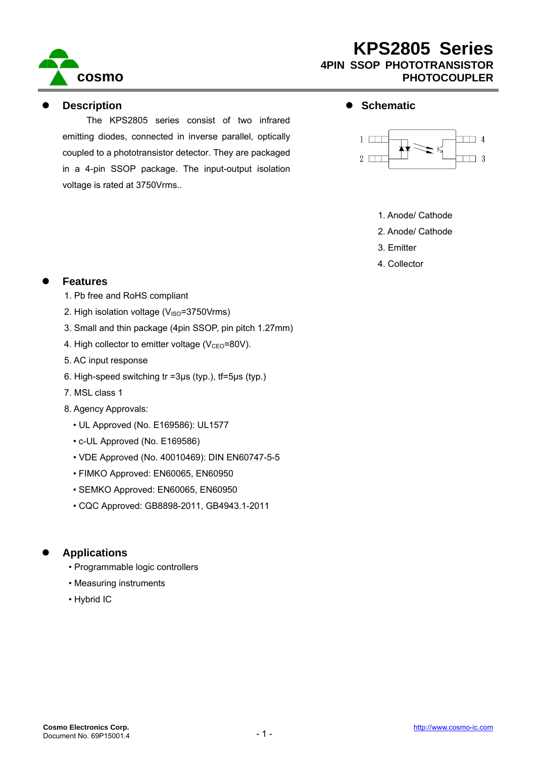

#### **Description**

The KPS2805 series consist of two infrared emitting diodes, connected in inverse parallel, optically coupled to a phototransistor detector. They are packaged in a 4-pin SSOP package. The input-output isolation voltage is rated at 3750Vrms..

#### $\bullet$  Schematic



- 1. Anode/ Cathode
- 2. Anode/ Cathode
- 3. Emitter
- 4. Collector

### **Features**

- 1. Pb free and RoHS compliant
- 2. High isolation voltage  $(V_{\text{ISO}}=3750V$ rms)
- 3. Small and thin package (4pin SSOP, pin pitch 1.27mm)
- 4. High collector to emitter voltage ( $V_{\text{CEO}}$ =80V).
- 5. AC input response
- 6. High-speed switching tr =3μs (typ.), tf=5μs (typ.)
- 7. MSL class 1
- 8. Agency Approvals:
	- UL Approved (No. E169586): UL1577
	- c-UL Approved (No. E169586)
	- VDE Approved (No. 40010469): DIN EN60747-5-5
	- FIMKO Approved: EN60065, EN60950
	- SEMKO Approved: EN60065, EN60950
	- CQC Approved: GB8898-2011, GB4943.1-2011

### z **Applications**

- Programmable logic controllers
- Measuring instruments
- Hybrid IC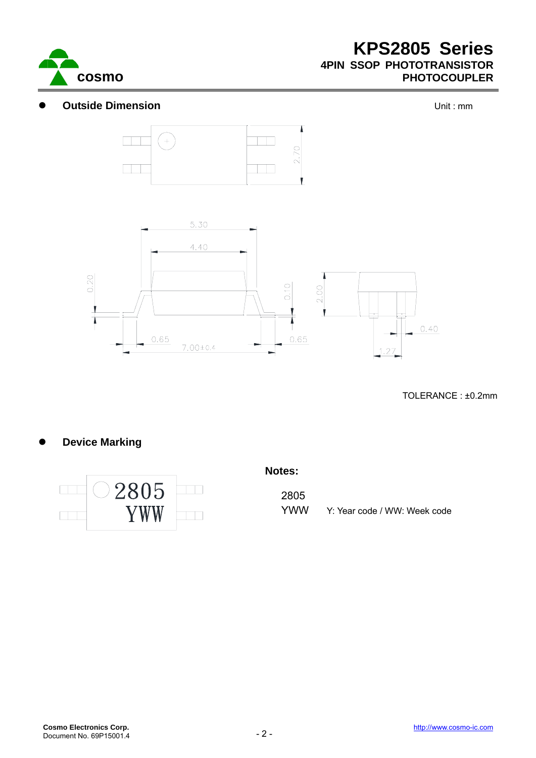

### **Outside Dimension Outside Dimension**





TOLERANCE : ±0.2mm

## **Device Marking**



#### **Notes:**

2805 YWW Y: Year code / WW: Week code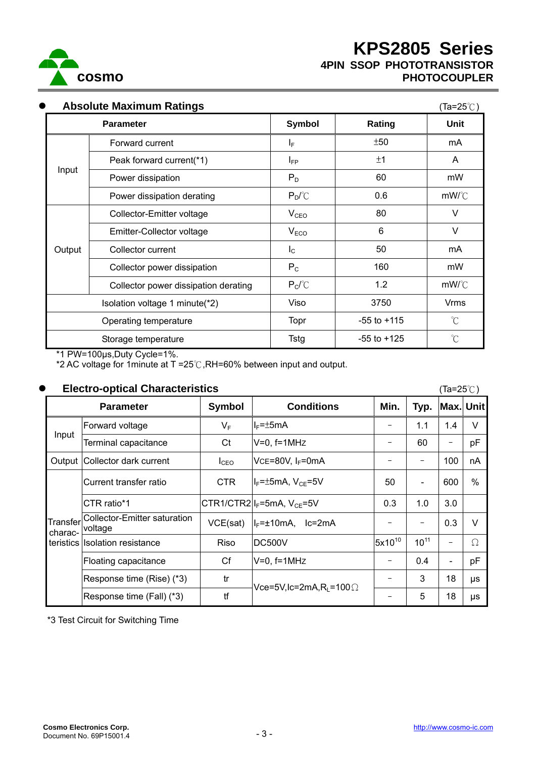

| $\bullet$ | <b>Absolute Maximum Ratings</b><br>$(Ta=25^{\circ}C)$ |                  |                 |                      |  |  |  |
|-----------|-------------------------------------------------------|------------------|-----------------|----------------------|--|--|--|
|           | <b>Parameter</b>                                      | Symbol           | Rating          | Unit                 |  |  |  |
|           | Forward current                                       | IF.              | ±50             | mA                   |  |  |  |
| Input     | Peak forward current(*1)                              | $I_{FP}$         | ±1              | A                    |  |  |  |
|           | Power dissipation                                     | $P_D$            | 60              | mW                   |  |  |  |
|           | Power dissipation derating                            | $P_D/C$          | 0.6             | mW/C                 |  |  |  |
|           | Collector-Emitter voltage                             | $V_{CEO}$        | 80              | $\vee$               |  |  |  |
|           | Emitter-Collector voltage                             | V <sub>ECO</sub> | 6               | $\vee$               |  |  |  |
| Output    | Collector current                                     | $I_{\rm C}$      | 50              | mA                   |  |  |  |
|           | Collector power dissipation                           | $P_{C}$          | 160             | mW                   |  |  |  |
|           | Collector power dissipation derating                  | $P_C$ / $C$      | 1.2             | mW/C                 |  |  |  |
|           | Isolation voltage 1 minute(*2)                        | Viso             | 3750            | <b>Vrms</b>          |  |  |  |
|           | Operating temperature                                 | Topr             | $-55$ to $+115$ | $\mathrm{C}^{\circ}$ |  |  |  |

\*1 PW=100μs,Duty Cycle=1%.

\*2 AC voltage for 1minute at T =25℃,RH=60% between input and output.

#### z **Electro-optical Characteristics** (Ta=25℃)

| Lictul - optical Undiactoristics |                                                |                  |                                                         |             |                          |                          | ( ia−∠J ∪ <i>)</i> |  |
|----------------------------------|------------------------------------------------|------------------|---------------------------------------------------------|-------------|--------------------------|--------------------------|--------------------|--|
| <b>Parameter</b>                 |                                                | Symbol           | <b>Conditions</b>                                       | Min.        | Typ.                     | Max. Unit                |                    |  |
| Input                            | Forward voltage                                | $V_F$            | $I_F = \pm 5mA$                                         |             | 1.1                      | 1.4                      | $\vee$             |  |
|                                  | Terminal capacitance                           | Ct               | $V=0$ , $f=1MHz$                                        |             | 60                       | $\overline{\phantom{m}}$ | pF                 |  |
|                                  | Output Collector dark current                  | $I_{\text{CEO}}$ | VCE=80V, IF=0mA                                         |             | $\overline{\phantom{m}}$ | 100                      | nA                 |  |
| Transfer<br>charac-              | Current transfer ratio                         | <b>CTR</b>       | I <sub>F</sub> =±5mA, V <sub>CE</sub> =5V               | 50          | $\overline{\phantom{a}}$ | 600                      | $\frac{0}{0}$      |  |
|                                  | CTR ratio*1                                    |                  | $CTR1/CTR2$ <sub><math> I_F=5mA, V_{CE}=5V</math></sub> | 0.3         | 1.0                      | 3.0                      |                    |  |
|                                  | <b>Collector-Emitter saturation</b><br>voltage | VCE(sat)         | I <sub>F</sub> =±10mA, Ic=2mA                           |             | -                        | 0.3                      | $\vee$             |  |
|                                  | teristics Isolation resistance                 | Riso             | DC500V                                                  | $5x10^{10}$ | $10^{11}$                |                          | $\Omega$           |  |
|                                  | Floating capacitance                           | Cf               | $V=0$ , $f=1$ MHz                                       |             | 0.4                      | $\overline{\phantom{a}}$ | pF                 |  |
|                                  | Response time (Rise) (*3)                      | tr               | Vce=5V,lc=2mA,R <sub>i</sub> =100 $\Omega$              |             | 3                        | 18                       | μs                 |  |
|                                  | Response time (Fall) (*3)                      | tf               |                                                         |             | 5                        | 18                       | μs                 |  |

Storage temperature Tstg | 35 to +125 ℃

\*3 Test Circuit for Switching Time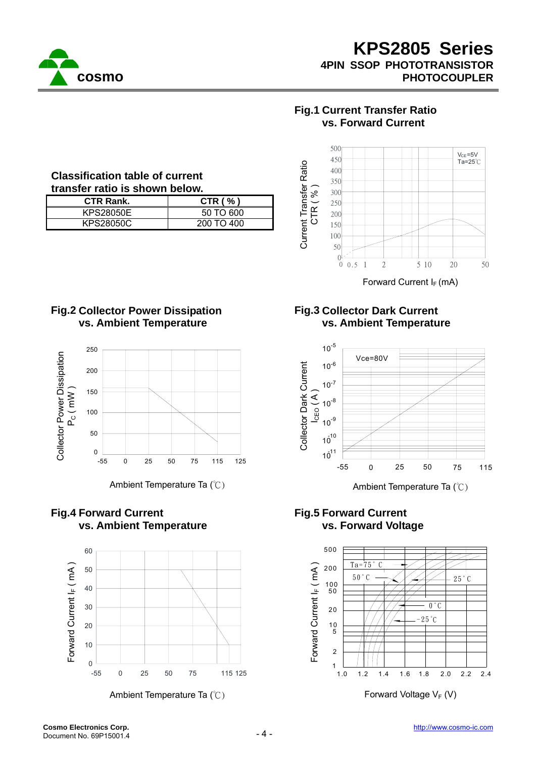

## **Fig.1 Current Transfer Ratio vs. Forward Current**



Forward Current  $I_F$  (mA)

## **Fig.3 Collector Dark Current vs. Ambient Temperature**



## **Fig.5 Forward Current vs. Forward Voltage**



## **Classification table of current transfer ratio is shown below.**

| <b>CTR Rank.</b> | CTR $( %)$ |
|------------------|------------|
| <b>KPS28050E</b> | 50 TO 600  |
| KPS28050C        | 200 TO 400 |

## **Fig.2 Collector Power Dissipation vs. Ambient Temperature**



Ambient Temperature Ta (°C) Ambient Temperature Ta (°C)

## **Fig.4 Forward Current vs. Ambient Temperature**

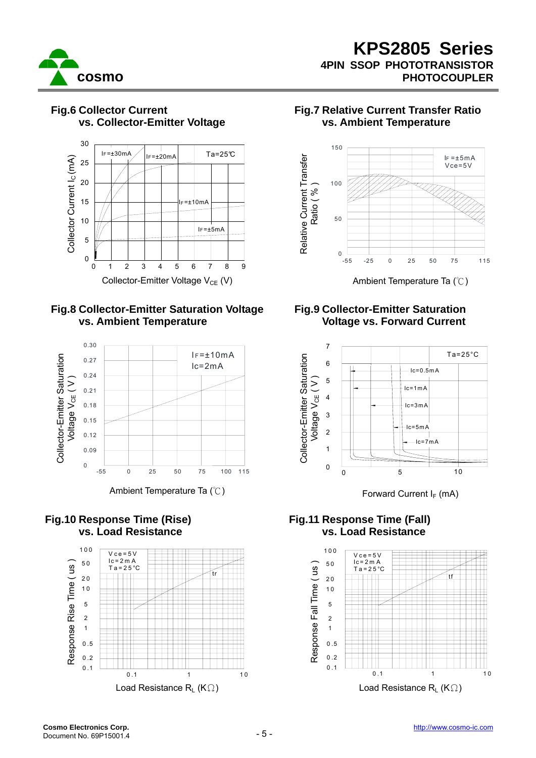



## **Fig.6 Collector Current vs. Collector-Emitter Voltage**



0 1 2 8

3 4 5 6 7

9



### **Fig.10 Response Time (Rise) vs. Load Resistance**



## **Fig.7 Relative Current Transfer Ratio vs. Ambient Temperature**



Collector-Emitter Voltage V<sub>CE</sub> (V) Ambient Temperature Ta (°C)

## **Fig.9 Collector-Emitter Saturation Voltage vs. Forward Current**



## **Fig.11 Response Time (Fall) vs. Load Resistance**

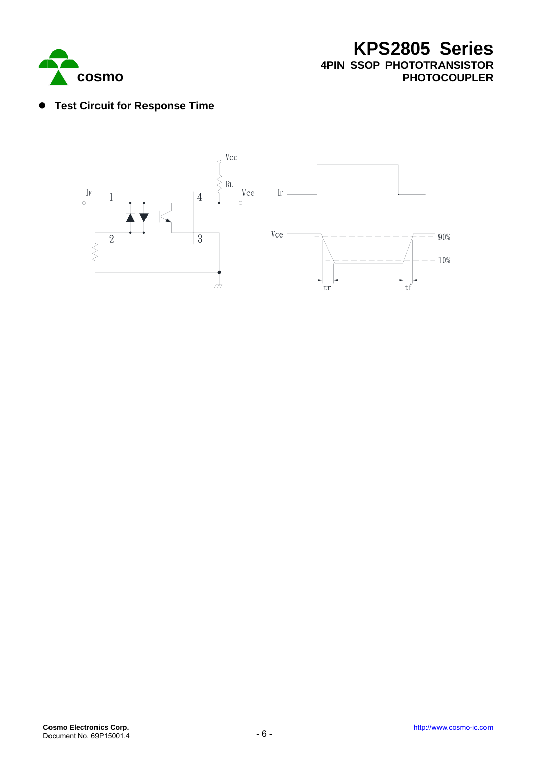

## **• Test Circuit for Response Time**

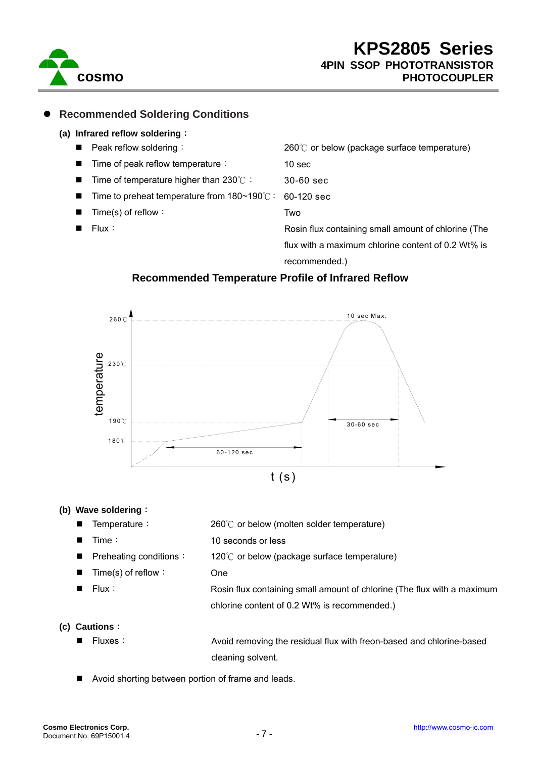

## z **Recommended Soldering Conditions**

#### **(a) Infrared reflow soldering**:

**Peak reflow soldering:** Time of peak reflow temperature: Time of temperature higher than 230℃: Time to preheat temperature from 180~190℃: Time(s) of reflow: Flux: 260℃ or below (package surface temperature) 10 sec 30-60 sec 60-120 sec Two Rosin flux containing small amount of chlorine (The flux with a maximum chlorine content of 0.2 Wt% is

recommended.)

### **Recommended Temperature Profile of Infrared Reflow**



#### **(b) Wave soldering**:

- Temperature:
- $\blacksquare$  Time:
	- Preheating conditions:
- Time(s) of reflow:
- Flux:
- 260℃ or below (molten solder temperature)
- 10 seconds or less
	- 120℃ or below (package surface temperature)
		-
- 
- One
- Rosin flux containing small amount of chlorine (The flux with a maximum chlorine content of 0.2 Wt% is recommended.)

#### **(c) Cautions**:

■ Fluxes: a section of a Avoid removing the residual flux with freon-based and chlorine-based cleaning solvent.

Avoid shorting between portion of frame and leads.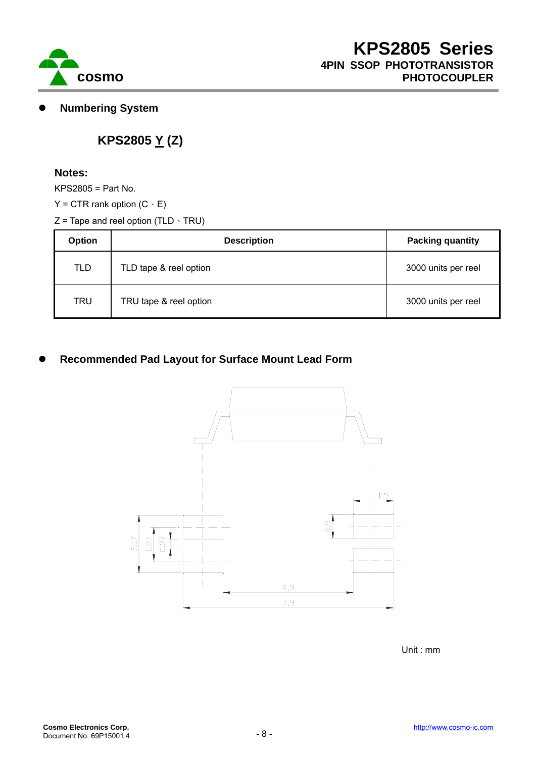

**Numbering System** 

# **KPS2805 Y (Z)**

#### **Notes:**

KPS2805 = Part No.

- $Y = CTR$  rank option  $(C \cdot E)$
- $Z$  = Tape and reel option (TLD  $\cdot$  TRU)

| <b>Option</b> | <b>Description</b>     | <b>Packing quantity</b> |  |
|---------------|------------------------|-------------------------|--|
| <b>TLD</b>    | TLD tape & reel option | 3000 units per reel     |  |
| <b>TRU</b>    | TRU tape & reel option | 3000 units per reel     |  |

## **Recommended Pad Layout for Surface Mount Lead Form**



Unit : mm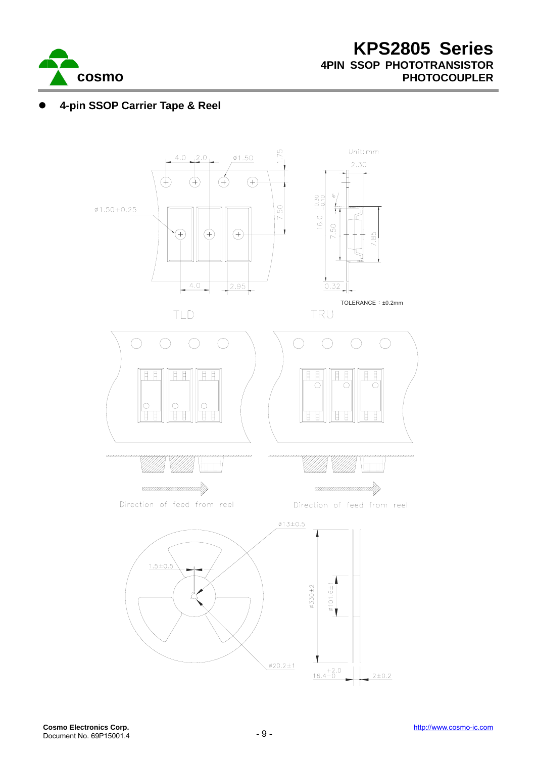

# z **4-pin SSOP Carrier Tape & Reel**